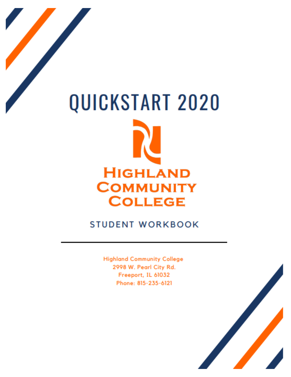# QUICKSTART 2020 **HIGHLAND COMMUNITY COLLEGE**

# **STUDENT WORKBOOK**

**Highland Community College** 2998 W. Pearl City Rd. Freeport, IL 61032 Phone: 815-235-6121

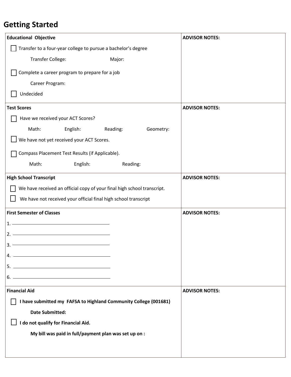# **Getting Started**

| <b>Educational Objective</b>                                            |          |           | <b>ADVISOR NOTES:</b> |
|-------------------------------------------------------------------------|----------|-----------|-----------------------|
| Transfer to a four-year college to pursue a bachelor's degree           |          |           |                       |
| Transfer College:<br>Major:                                             |          |           |                       |
| Complete a career program to prepare for a job                          |          |           |                       |
| Career Program:                                                         |          |           |                       |
| Undecided                                                               |          |           |                       |
| <b>Test Scores</b>                                                      |          |           | <b>ADVISOR NOTES:</b> |
| Have we received your ACT Scores?                                       |          |           |                       |
| Math:<br>English:                                                       | Reading: | Geometry: |                       |
| We have not yet received your ACT Scores.                               |          |           |                       |
| Compass Placement Test Results (if Applicable).                         |          |           |                       |
| English:<br>Math:                                                       | Reading: |           |                       |
| <b>High School Transcript</b>                                           |          |           | <b>ADVISOR NOTES:</b> |
| We have received an official copy of your final high school transcript. |          |           |                       |
| We have not received your official final high school transcript         |          |           |                       |
| <b>First Semester of Classes</b>                                        |          |           | <b>ADVISOR NOTES:</b> |
| 1. -                                                                    |          |           |                       |
| $2. -$                                                                  |          |           |                       |
| $3. -$                                                                  |          |           |                       |
|                                                                         |          |           |                       |
|                                                                         |          |           |                       |
| $6.$ $\overline{\phantom{a}}$                                           |          |           |                       |
| <b>Financial Aid</b>                                                    |          |           | <b>ADVISOR NOTES:</b> |
| I have submitted my FAFSA to Highland Community College (001681)        |          |           |                       |
| <b>Date Submitted:</b>                                                  |          |           |                       |
| I do not qualify for Financial Aid.                                     |          |           |                       |
| My bill was paid in full/payment plan was set up on :                   |          |           |                       |
|                                                                         |          |           |                       |
|                                                                         |          |           |                       |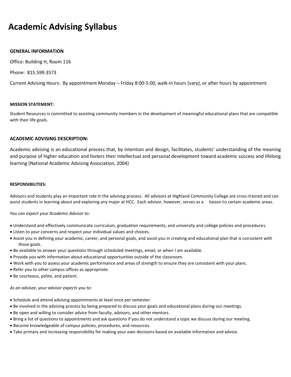## **Academic Advising Syllabus**

#### **GENERAL INFORMATION**

Office: Building H, Room 116

Phone: 815.599.3573

Current Advising Hours: By appointment Monday – Friday 8:00-5:00, walk-in hours (vary), or after hours by appointment

#### **MISSION STATEMENT:**

Student Resources is committed to assisting community members in the development of meaningful educational plans that are compatible with their life goals.

#### **ACADEMIC ADVISING DESCRIPTION:**

Academic advising is an educational process that, by intention and design, facilitates, students' understanding of the meaning and purpose of higher education and fosters their Intellectual and personal development toward academic success and lifelong learning (National Academic Advising Association, 2004)

#### **RESPONSIBILITIES:**

Advisors and students play an important role in the advising process. All advisors at Highland Community College are cross-trained and can assist students in learning about and exploring any major at HCC. Each advisor, however, serves as a liaison to certain academic areas.

#### *You can expect your Academic Advisor to:*

- Understand and effectively communicate curriculum, graduation requirements, and university and college policies and procedures.
- Listen to your concerns and respect your individual values and choices.
- Assist you in defining your academic, career, and personal goals, and assist you in creating and educational plan that is consistent with those goals.
- Be available to answer your questions through scheduled meetings, email, or when I am available.
- Provide you with information about educational opportunities outside of the classroom.
- Work with you to assess your academic performance and areas of strength to ensure they are consistent with your plans.
- Refer you to other campus offices as appropriate.
- Be courteous, polite, and patient.

#### *As an advisee, your advisor expects you to:*

- Schedule and attend advising appointments at least once per semester.
- Be involved in the advising process by being prepared to discuss your goals and educational plans during our meetings.
- Be open and willing to consider advice from faculty, advisors, and other mentors.
- Bring a list of questions to appointments and ask questions if you do not understand a topic we discuss during our meeting.
- Become knowledgeable of campus policies, procedures, and resources.
- Take primary and increasing responsibility for making your own decisions based on available information and advice.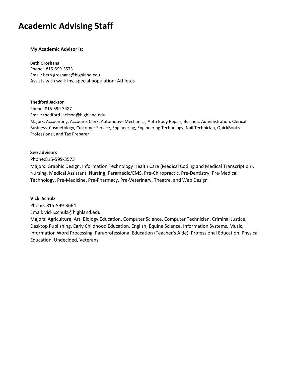## **Academic Advising Staff**

#### **My Academic Advisor is:**

#### **Beth Groshans**

Phone: 815-599-3573 Email: beth.groshans@highland.edu Assists with walk ins, special population: Athletes

#### **Thedford Jackson**

Phone: 815-599-3487 Email: thedford.jackson@highland.edu Majors: Accounting, Accounts Clerk, Automotive Mechanics, Auto Body Repair, Business Administration, Clerical Business, Cosmetology, Customer Service, Engineering, Engineering Technology, Nail Technician, QuickBooks Professional, and Tax Preparer

#### **See advisors**

Phone:815-599-3573

Majors: Graphic Design, Information Technology Health Care (Medical Coding and Medical Transcription), Nursing, Medical Assistant, Nursing, Paramedic/EMS, Pre-Chiropractic, Pre-Dentistry, Pre-Medical Technology, Pre-Medicine, Pre-Pharmacy, Pre-Veterinary, Theatre, and Web Design

#### **Vicki Schulz**

Phone: 815-599-3664 Email: vicki.schulz@highland.edu Majors: Agriculture, Art, Biology Education, Computer Science, Computer Technician, Criminal Justice, Desktop Publishing, Early Childhood Education, English, Equine Science, Information Systems, Music, Information Word Processing, Paraprofessional Education (Teacher's Aide), Professional Education, Physical Education, Undecided, Veterans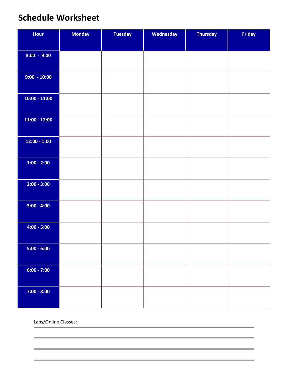# **Schedule Worksheet**

| Hour            | <b>Monday</b> | <b>Tuesday</b> | Wednesday | <b>Thursday</b> | Friday |
|-----------------|---------------|----------------|-----------|-----------------|--------|
|                 |               |                |           |                 |        |
| $8:00 - 9:00$   |               |                |           |                 |        |
|                 |               |                |           |                 |        |
| $9:00 - 10:00$  |               |                |           |                 |        |
|                 |               |                |           |                 |        |
| $10:00 - 11:00$ |               |                |           |                 |        |
|                 |               |                |           |                 |        |
| $11:00 - 12:00$ |               |                |           |                 |        |
|                 |               |                |           |                 |        |
| $12:00 - 1:00$  |               |                |           |                 |        |
|                 |               |                |           |                 |        |
| $1:00 - 2:00$   |               |                |           |                 |        |
|                 |               |                |           |                 |        |
| $2:00 - 3:00$   |               |                |           |                 |        |
|                 |               |                |           |                 |        |
| $3:00 - 4:00$   |               |                |           |                 |        |
|                 |               |                |           |                 |        |
| $4:00 - 5:00$   |               |                |           |                 |        |
|                 |               |                |           |                 |        |
| $5:00 - 6:00$   |               |                |           |                 |        |
|                 |               |                |           |                 |        |
| $6:00 - 7:00$   |               |                |           |                 |        |
|                 |               |                |           |                 |        |
| $7:00 - 8:00$   |               |                |           |                 |        |
|                 |               |                |           |                 |        |

Labs/Online Classes: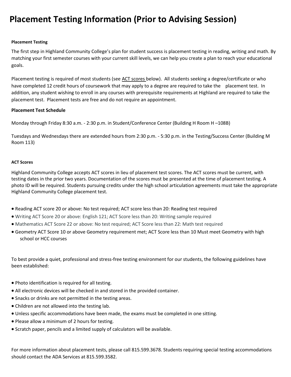# **Placement Testing Information (Prior to Advising Session)**

#### **Placement Testing**

The first step in Highland Community College's plan for student success is placement testing in reading, writing and math. By matching your first semester courses with your current skill levels, we can help you create a plan to reach your educational goals.

Placement testing is required of most students (see [ACT scores b](http://www.highland.edu/admissions/placementtests.asp#actscores#actscores)elow). All students seeking a degree/certificate or who have completed 12 credit hours of coursework that may apply to a degree are required to take the placement test. In addition, any student wishing to enroll in any courses with prerequisite requirements at Highland are required to take the placement test. Placement tests are free and do not require an appointment.

## **Placement Test Schedule**

Monday through Friday 8:30 a.m. - 2:30 p.m. in Student/Conference Center (Building H Room H –108B)

Tuesdays and Wednesdays there are extended hours from 2:30 p.m. - 5:30 p.m. in the Testing/Success Center (Building M Room 113)

#### **ACT Scores**

Highland Community College accepts ACT scores in lieu of placement test scores. The ACT scores must be current, with testing dates in the prior two years. Documentation of the scores must be presented at the time of placement testing. A photo ID will be required. Students pursuing credits under the high school articulation agreements must take the appropriate Highland Community College placement test.

- Reading ACT score 20 or above: No test required; ACT score less than 20: Reading test required
- Writing ACT Score 20 or above: English 121; ACT Score less than 20: Writing sample required
- Mathematics ACT Score 22 or above: No test required; ACT Score less than 22: Math test required
- Geometry ACT Score 10 or above Geometry requirement met; ACT Score less than 10 Must meet Geometry with high school or HCC courses

To best provide a quiet, professional and stress-free testing environment for our students, the following guidelines have been established:

- Photo identification is required for all testing.
- All electronic devices will be checked in and stored in the provided container.
- Snacks or drinks are not permitted in the testing areas.
- Children are not allowed into the testing lab.
- Unless specific accommodations have been made, the exams must be completed in one sitting.
- Please allow a minimum of 2 hours for testing.
- Scratch paper, pencils and a limited supply of calculators will be available.

For more information about placement tests, please call 815.599.3678. Students requiring special testing accommodations should contact the ADA Services at 815.599.3582.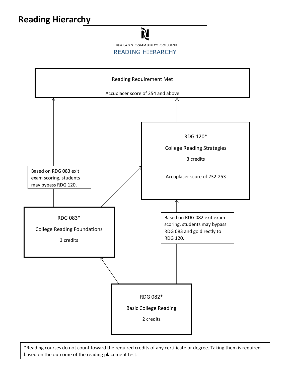# **Reading Hierarchy**





\*Reading courses do not count toward the required credits of any certificate or degree. Taking them is required based on the outcome of the reading placement test.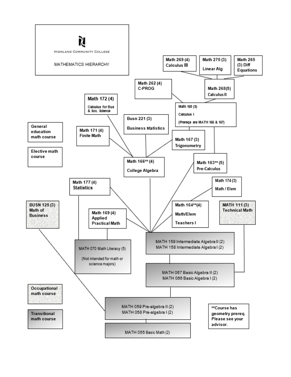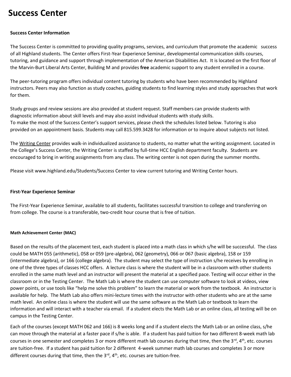## **Success Center**

#### **Success Center Information**

The Success Center is committed to providing quality programs, services, and curriculum that promote the academic success of all Highland students. The Center offers First-Year Experience Seminar, developmental communication skills courses, tutoring, and guidance and support through implementation of the American Disabilities Act. It is located on the first floor of the Marvin-Burt Liberal Arts Center, Building M and provides **free** academic support to any student enrolled in a course.

The peer-tutoring program offers individual content tutoring by students who have been recommended by Highland instructors. Peers may also function as study coaches, guiding students to find learning styles and study approaches that work for them.

Study groups and review sessions are also provided at student request. Staff members can provide students with diagnostic information about skill levels and may also assist individual students with study skills. To make the most of the Success Center's support services, please check the schedules listed below. Tutoring is also provided on an appointment basis. Students may call 815.599.3428 for information or to inquire about subjects not listed.

Th[e Writing Center](http://highland.edu/students/documents/Spring2014WritingCenterSchedule.pdf) provides walk-in individualized assistance to students, no matter what the writing assignment. Located in the College's Success Center, the Writing Center is staffed by full-time HCC English department faculty. Students are encouraged to bring in writing assignments from any class. The writing center is not open during the summer months.

Please visit www.highland.edu/Students/Success Center to view current tutoring and Writing Center hours.

#### **First-Year Experience Seminar**

The First-Year Experience Seminar, available to all students, facilitates successful transition to college and transferring on from college. The course is a transferable, two-credit hour course that is free of tuition.

#### **Math Achievement Center (MAC)**

Based on the results of the placement test, each student is placed into a math class in which s/he will be successful. The class could be MATH 055 (arithmetic), 058 or 059 (pre-algebra), 062 (geometry), 066 or 067 (basic algebra), 158 or 159 (intermediate algebra), or 166 (college algebra). The student may select the type of instruction s/he receives by enrolling in one of the three types of classes HCC offers. A lecture class is where the student will be in a classroom with other students enrolled in the same math level and an instructor will present the material at a specified pace. Testing will occur either in the classroom or in the Testing Center. The Math Lab is where the student can use computer software to look at videos, view power points, or use tools like "help me solve this problem" to learn the material or work from the textbook. An instructor is available for help. The Math Lab also offers mini-lecture times with the instructor with other students who are at the same math level. An online class is where the student will use the same software as the Math Lab or textbook to learn the information and will interact with a teacher via email. If a student elects the Math Lab or an online class, all testing will be on campus in the Testing Center.

Each of the courses (except MATH 062 and 166) is 8 weeks long and if a student elects the Math Lab or an online class, s/he can move through the material at a faster pace if s/he is able. If a student has paid tuition for two different 8-week math lab courses in one semester and completes 3 or more different math lab courses during that time, then the  $3^{rd}$ ,  $4^{th}$ , etc. courses are tuition-free. If a student has paid tuition for 2 different 4-week summer math lab courses and completes 3 or more different courses during that time, then the  $3<sup>rd</sup>$ ,  $4<sup>th</sup>$ , etc. courses are tuition-free.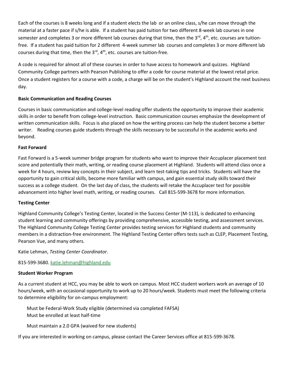Each of the courses is 8 weeks long and if a student elects the lab or an online class, s/he can move through the material at a faster pace if s/he is able. If a student has paid tuition for two different 8-week lab courses in one semester and completes 3 or more different lab courses during that time, then the 3<sup>rd</sup>, 4<sup>th</sup>, etc. courses are tuitionfree. If a student has paid tuition for 2 different 4-week summer lab courses and completes 3 or more different lab courses during that time, then the  $3^{rd}$ ,  $4^{th}$ , etc. courses are tuition-free.

A code is required for almost all of these courses in order to have access to homework and quizzes. Highland Community College partners with Pearson Publishing to offer a code for course material at the lowest retail price. Once a student registers for a course with a code, a charge will be on the student's Highland account the next business day.

## **Basic Communication and Reading Courses**

Courses in basic communication and college-level reading offer students the opportunity to improve their academic skills in order to benefit from college-level instruction. Basic communication courses emphasize the development of written communication skills. Focus is also placed on how the writing process can help the student become a better writer. Reading courses guide students through the skills necessary to be successful in the academic works and beyond.

#### **Fast Forward**

Fast Forward is a 5-week summer bridge program for students who want to improve their Accuplacer placement test score and potentially their math, writing, or reading course placement at Highland. Students will attend class once a week for 4 hours, review key concepts in their subject, and learn test-taking tips and tricks. Students will have the opportunity to gain critical skills, become more familiar with campus, and gain essential study skills toward their success as a college student. On the last day of class, the students will retake the Accuplacer test for possible advancement into higher level math, writing, or reading courses. Call 815-599-3678 for more information.

## **Testing Center**

Highland Community College's Testing Center, located in the Success Center (M-113), is dedicated to enhancing student learning and community offerings by providing comprehensive, accessible testing, and assessment services. The Highland Community College Testing Center provides testing services for Highland students and community members in a distraction-free environment. The Highland Testing Center offers tests such as CLEP, Placement Testing, Pearson Vue, and many others.

Katie Lehman, *Testing Center Coordinator*.

815-599-3680. [katie.lehman@highland.edu](mailto:liz.lillge@highland.edu)

#### **Student Worker Program**

As a current student at HCC, you may be able to work on campus. Most HCC student workers work an average of 10 hours/week, with an occasional opportunity to work up to 20 hours/week. Students must meet the following criteria to determine eligibility for on-campus employment:

Must be Federal-Work Study eligible (determined via completed FAFSA) Must be enrolled at least half-time

Must maintain a 2.0 GPA (waived for new students)

If you are interested in working on campus, please contact the Career Services office at 815-599-3678.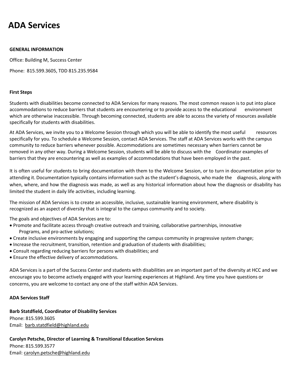## **ADA Services**

#### **GENERAL INFORMATION**

Office: Building M, Success Center

Phone: 815.599.3605, TDD 815.235.9584

#### **First Steps**

Students with disabilities become connected to ADA Services for many reasons. The most common reason is to put into place accommodations to reduce barriers that students are encountering or to provide access to the educational environment which are otherwise inaccessible. Through becoming connected, students are able to access the variety of resources available specifically for students with disabilities.

At ADA Services, we invite you to a Welcome Session through which you will be able to identify the most useful resources specifically for you. To schedule a Welcome Session, contact ADA Services. The staff at ADA Services works with the campus community to reduce barriers whenever possible. Accommodations are sometimes necessary when barriers cannot be removed in any other way. During a Welcome Session, students will be able to discuss with the Coordinator examples of barriers that they are encountering as well as examples of accommodations that have been employed in the past.

It is often useful for students to bring documentation with them to the Welcome Session, or to turn in documentation prior to attending it. Documentation typically contains information such as the student's diagnosis, who made the diagnosis, along with when, where, and how the diagnosis was made, as well as any historical information about how the diagnosis or disability has limited the student in daily life activities, including learning.

The mission of ADA Services is to create an accessible, inclusive, sustainable learning environment, where disability is recognized as an aspect of diversity that is integral to the campus community and to society.

The goals and objectives of ADA Services are to:

- Promote and facilitate access through creative outreach and training, collaborative partnerships, innovative Programs, and pro-active solutions;
- Create inclusive environments by engaging and supporting the campus community in progressive system change;
- Increase the recruitment, transition, retention and graduation of students with disabilities;
- Consult regarding reducing barriers for persons with disabilities; and
- Ensure the effective delivery of accommodations.

ADA Services is a part of the Success Center and students with disabilities are an important part of the diversity at HCC and we encourage you to become actively engaged with your learning experiences at Highland. Any time you have questions or concerns, you are welcome to contact any one of the staff within ADA Services.

#### **ADA Services Staff**

**Barb Statdfield, Coordinator of Disability Services**  Phone: 815.599.3605 Email: [barb.statdfield@highland.edu](mailto:marcelle.jones@highland.edu)

**Carolyn Petsche, Director of Learning & Transitional Education Services**  Phone: 815.599.3577 Email: [carolyn.petsche@highland.edu](mailto:carolyn.petsche@highland.edu)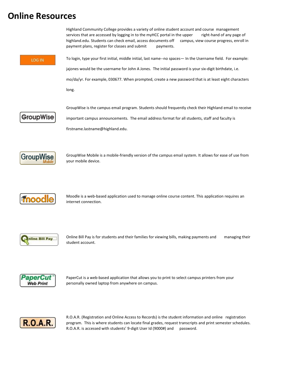## **Online Resources**





R.O.A.R. (Registration and Online Access to Records) is the student information and online registration program. This is where students can locate final grades, request transcripts and print semester schedules. R.O.A.R. is accessed with students' 9-digit User Id (9000#) and password.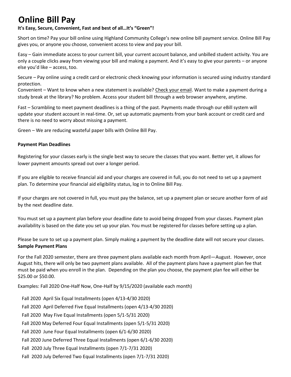# **Online Bill Pay**

## **It's Easy, Secure, Convenient, Fast and best of all…It's "Green"!**

Short on time? Pay your bill online using Highland Community College's new online bill payment service. Online Bill Pay gives you, or anyone you choose, convenient access to view and pay your bill.

Easy – Gain immediate access to your current bill, your current account balance, and unbilled student activity. You are only a couple clicks away from viewing your bill and making a payment. And it's easy to give your parents – or anyone else you'd like – access, too.

Secure – Pay online using a credit card or electronic check knowing your information is secured using industry standard protection.

Convenient – Want to know when a new statement is available? [Check your email.](https://idp.highland.edu/nidp/idff/sso?RequestID=idvpdJyS6YDrUkMpkFS31l-BZ64gY&MajorVersion=1&MinorVersion=2&IssueInstant=2010-02-26T20:05:44Z&ProviderID=https://gateway.highland.edu:443/nesp/idff/metadata&RelayState=MQ==&consent=urn:liberty:consent:unavailable&ForceAuthn=false&IsPassive=false&NameIDPolicy=onetime&ProtocolProfile=http://projectliberty.org/profiles/brws-art&target=https://login.highland.edu:443/&AuthnContextStatementRef=secure/name/password/uri) Want to make a payment during a study break at the library? No problem. Access your student bill through a web browser anywhere, anytime.

Fast – Scrambling to meet payment deadlines is a thing of the past. Payments made through our eBill system will update your student account in real-time. Or, set up automatic payments from your bank account or credit card and there is no need to worry about missing a payment.

Green – We are reducing wasteful paper bills with Online Bill Pay.

#### **Payment Plan Deadlines**

Registering for your classes early is the single best way to secure the classes that you want. Better yet, it allows for lower payment amounts spread out over a longer period.

If you are eligible to receive financial aid and your charges are covered in full, you do not need to set up a payment plan. To determine your financial aid eligibility status, log in to Online Bill Pay.

If your charges are not covered in full, you must pay the balance, set up a payment plan or secure another form of aid by the next deadline date.

You must set up a payment plan before your deadline date to avoid being dropped from your classes. Payment plan availability is based on the date you set up your plan. You must be registered for classes before setting up a plan.

Please be sure to set up a payment plan. Simply making a payment by the deadline date will not secure your classes. **Sample Payment Plans**

For the Fall 2020 semester, there are three payment plans available each month from April—August. However, once August hits, there will only be two payment plans available. All of the payment plans have a payment plan fee that must be paid when you enroll in the plan. Depending on the plan you choose, the payment plan fee will either be \$25.00 or \$50.00.

Examples: Fall 2020 One-Half Now, One-Half by 9/15/2020 (available each month)

Fall 2020 April Six Equal Installments (open 4/13-4/30 2020) Fall 2020 April Deferred Five Equal Installments (open 4/13-4/30 2020) Fall 2020 May Five Equal Installments (open 5/1-5/31 2020) Fall 2020 May Deferred Four Equal Installments (open 5/1-5/31 2020) Fall 2020 June Four Equal Installments (open 6/1-6/30 2020) Fall 2020 June Deferred Three Equal Installments (open 6/1-6/30 2020) Fall 2020 July Three Equal Installments (open 7/1-7/31 2020) Fall 2020 July Deferred Two Equal Installments (open 7/1-7/31 2020)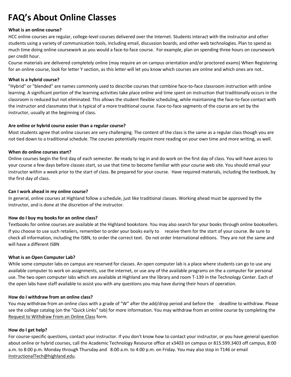# **FAQ's About Online Classes**

#### **What is an online course?**

HCC online courses are regular, college-level courses delivered over the Internet. Students interact with the instructor and other students using a variety of communication tools, including email, discussion boards, and other web technologies. Plan to spend as much time doing online coursework as you would a face-to-face course. For example, plan on spending three hours on coursework per credit hour.

Course materials are delivered completely online (may require an on campus orientation and/or proctored exams) When Registering for an online course, look for letter Y section, as this letter will let you know which courses are online and which ones are not..

#### **What is a hybrid course?**

"Hybrid" or "blended" are names commonly used to describe courses that combine face-to-face classroom instruction with online learning. A significant portion of the learning activities take place online and time spent on instruction that traditionally occurs in the classroom is reduced but not eliminated. This allows the student flexible scheduling, while maintaining the face-to-face contact with the instructor and classmates that is typical of a more traditional course. Face-to-face segments of the course are set by the instructor, usually at the beginning of class.

## **Are online or hybrid course easier than a regular course?**

Most students agree that online courses are very challenging. The content of the class is the same as a regular class though you are not tied down to a traditional schedule. The courses potentially require more reading on your own time and more writing, as well.

#### **When do online courses start?**

Online courses begin the first day of each semester. Be ready to log in and do work on the first day of class. You will have access to your course a few days before classes start, so use that time to become familiar with your course web site. You should email your instructor within a week prior to the start of class. Be prepared for your course. Have required materials, including the textbook, by the first day of class.

#### **Can I work ahead in my online course?**

In general, online courses at Highland follow a schedule, just like traditional classes. Working ahead must be approved by the instructor, and is done at the discretion of the instructor.

#### **How do I buy my books for an online class?**

Textbooks for online courses are available at the Highland bookstore. You may also search for your books through online booksellers. If you choose to use such retailers, remember to order your books early to receive them for the start of your course. Be sure to check all information, including the ISBN, to order the correct text. Do not order International editions. They are not the same and will have a different ISBN

#### **What is an Open Computer Lab?**

While some computer labs on campus are reserved for classes. An open computer lab is a place where students can go to use any available computer to work on assignments, use the internet, or use any of the available programs on the a computer for personal use. The two open computer labs which are available at Highland are the library and room T-139 in the Technology Center. Each of the open labs have staff available to assist you with any questions you may have during their hours of operation.

#### **How do I withdraw from an online class?**

You may withdraw from an online class with a grade of "W" after the add/drop period and before the deadline to withdraw. Please see the college catalog (on the "Quick Links" tab) for more information. You may withdraw from an online course by completing the [Request to Withdraw From an Online Class](http://highland.edu/admissions/withdrawal.asp) form.

#### **How do I get help?**

For course-specific questions, contact your instructor. If you don't know how to contact your instructor, or you have general question about online or hybrid courses, call the Academic Technology Resource office at x3403 on campus or 815.599.3403 off campus, 8:00 a.m. to 8:00 p.m. Monday through Thursday and 8:00 a.m. to 4:00 p.m. on Friday. You may also stop in T146 or email [InstructionalTech@highland.edu.](mailto:InstructionalTech@highland.edu)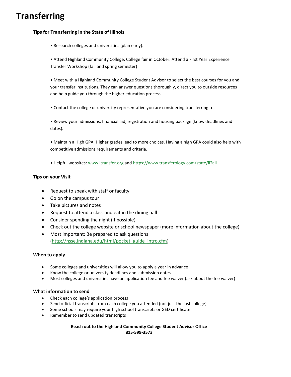# **Transferring**

#### **Tips for Transferring in the State of Illinois**

• Research colleges and universities (plan early).

• Attend Highland Community College, College fair in October. Attend a First Year Experience Transfer Workshop (fall and spring semester)

• Meet with a Highland Community College Student Advisor to select the best courses for you and your transfer institutions. They can answer questions thoroughly, direct you to outside resources and help guide you through the higher education process.

• Contact the college or university representative you are considering transferring to.

• Review your admissions, financial aid, registration and housing package (know deadlines and dates).

• Maintain a High GPA. Higher grades lead to more choices. Having a high GPA could also help with competitive admissions requirements and criteria.

• Helpful websites: [www.Itransfer.org](http://www.itransfer.org/) and<https://www.transferology.com/state/il?all>

#### **Tips on your Visit**

- Request to speak with staff or faculty
- Go on the campus tour
- Take pictures and notes
- Request to attend a class and eat in the dining hall
- Consider spending the night (if possible)
- Check out the college website or school newspaper (more information about the college)
- Most important: Be prepared to ask questions [\(http://nsse.indiana.edu/html/pocket\\_guide\\_intro.cfm\)](http://nsse.indiana.edu/html/pocket_guide_intro.cfm)

#### **When to apply**

- Some colleges and universities will allow you to apply a year in advance
- Know the college or university deadlines and submission dates
- Most colleges and universities have an application fee and fee waiver (ask about the fee waiver)

#### **What information to send**

- Check each college's application process
- Send official transcripts from each college you attended (not just the last college)
- Some schools may require your high school transcripts or GED certificate
- Remember to send updated transcripts

**Reach out to the Highland Community College Student Advisor Office 815-599-3573**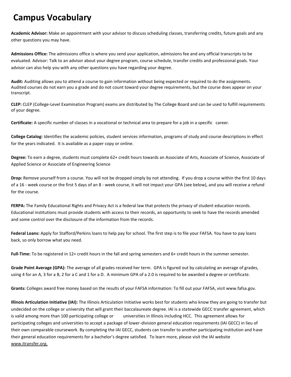## **Campus Vocabulary**

**Academic Advisor:** Make an appointment with your advisor to discuss scheduling classes, transferring credits, future goals and any other questions you may have.

**Admissions Office:** The admissions office is where you send your application, admissions fee and any official transcripts to be evaluated. Advisor: Talk to an advisor about your degree program, course schedule, transfer credits and professional goals. Your advisor can also help you with any other questions you have regarding your degree.

**Audit:** Auditing allows you to attend a course to gain information without being expected or required to do the assignments. Audited courses do not earn you a grade and do not count toward your degree requirements, but the course does appear on your transcript.

**CLEP:** CLEP (College-Level Examination Program) exams are distributed by The College Board and can be used to fulfill requirements of your degree.

**Certificate:** A specific number of classes in a vocational or technical area to prepare for a job in a specific career.

**College Catalog:** Identifies the academic policies, student services information, programs of study and course descriptions in effect for the years indicated. It is available as a paper copy or online.

**Degree:** To earn a degree, students must complete 62+ credit hours towards an Associate of Arts, Associate of Science, Associate of Applied Science or Associate of Engineering Science

**Drop:** Remove yourself from a course. You will not be dropped simply by not attending. If you drop a course within the first 10 days of a 16 - week course or the first 5 days of an 8 - week course, it will not impact your GPA (see below), and you will receive a refund for the course.

**FERPA:** The Family Educational Rights and Privacy Act is a federal law that protects the privacy of student education records. Educational institutions must provide students with access to their records, an opportunity to seek to have the records amended and some control over the disclosure of the information from the records.

**Federal Loans:** Apply for Stafford/Perkins loans to help pay for school. The first step is to file your FAFSA. You have to pay loans back, so only borrow what you need.

**Full-Time:** To be registered in 12+ credit hours in the fall and spring semesters and 6+ credit hours in the summer semester.

**Grade Point Average (GPA):** The average of all grades received her term. GPA is figured out by calculating an average of grades, using 4 for an A, 3 for a B, 2 for a C and 1 for a D. A minimum GPA of a 2.0 is required to be awarded a degree or certificate.

**Grants:** Colleges award free money based on the results of your FAFSA information: To fill out your FAFSA, visit www.fafsa.gov.

**Illinois Articulation Initiative (IAI):** The Illinois Articulation Initiative works best for students who know they are going to transfer but undecided on the college or university that will grant their baccalaureate degree. IAI is a statewide GECC transfer agreement, which is valid among more than 100 participating college or universities in Illinois including HCC. This agreement allows for participating colleges and universities to accept a package of lower-division general education requirements (IAI GECC) in lieu of their own comparable coursework. By completing the IAI GECC, students can transfer to another participating institution and have their general education requirements for a bachelor's degree satisfied. To learn more, please visit the IAI website www.itransfer.org.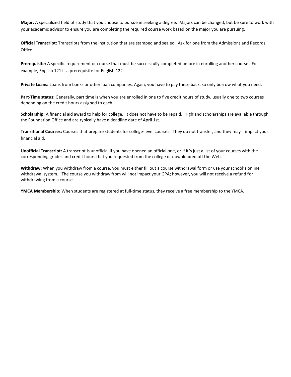**Major:** A specialized field of study that you choose to pursue in seeking a degree. Majors can be changed, but be sure to work with your academic advisor to ensure you are completing the required course work based on the major you are pursuing.

**Official Transcript:** Transcripts from the institution that are stamped and sealed. Ask for one from the Admissions and Records Office!

**Prerequisite:** A specific requirement or course that must be successfully completed before in enrolling another course. For example, English 121 is a prerequisite for English 122.

**Private Loans:** Loans from banks or other loan companies. Again, you have to pay these back, so only borrow what you need.

**Part-Time status:** Generally, part time is when you are enrolled in one to five credit hours of study, usually one to two courses depending on the credit hours assigned to each.

**Scholarship:** A financial aid award to help for college. It does not have to be repaid. Highland scholarships are available through the Foundation Office and are typically have a deadline date of April 1st.

**Transitional Courses:** Courses that prepare students for college-level courses. They do not transfer, and they may impact your financial aid.

**Unofficial Transcript:** A transcript is unofficial if you have opened an official one, or if it's just a list of your courses with the corresponding grades and credit hours that you requested from the college or downloaded off the Web.

**Withdraw:** When you withdraw from a course, you must either fill out a course withdrawal form or use your school's online withdrawal system. The course you withdraw from will not impact your GPA; however, you will not receive a refund for withdrawing from a course.

**YMCA Membership:** When students are registered at full-time status, they receive a free membership to the YMCA.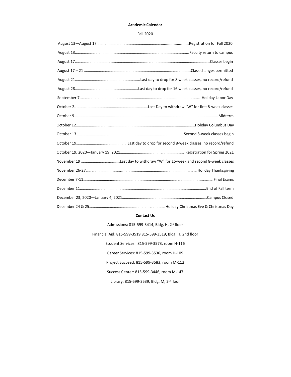#### **Academic Calendar**

Fall 2020

#### **Contact Us**

Admissions: 815-599-3414, Bldg. H, 2<sup>nd</sup> floor

Financial Aid: 815-599-3519 815-599-3519, Bldg. H, 2nd floor

Student Services: 815-599-3573, room H-116

Career Services: 815-599-3536, room H-109

Project Succeed: 815-599-3583, room M-112

Success Center: 815-599-3446, room M-147

Library: 815-599-3539, Bldg. M, 2<sup>nd</sup> floor